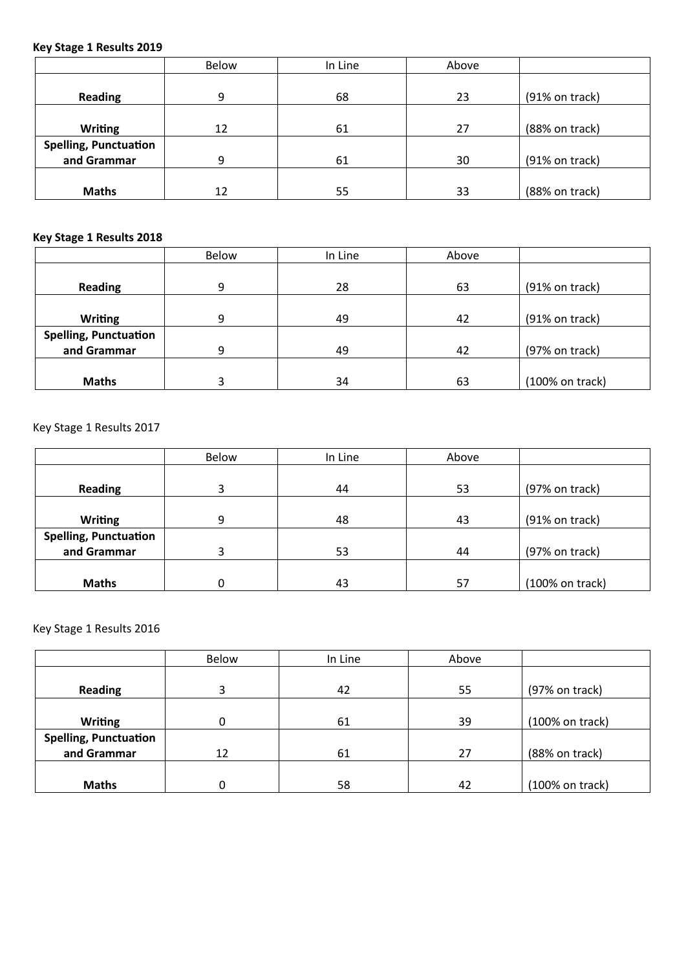## **Key Stage 1 Results 2019**

|                              | Below | In Line | Above |                  |
|------------------------------|-------|---------|-------|------------------|
|                              |       |         |       |                  |
| <b>Reading</b>               | 9     | 68      | 23    | $(91%$ on track) |
|                              |       |         |       |                  |
| <b>Writing</b>               | 12    | 61      | 27    | (88% on track)   |
| <b>Spelling, Punctuation</b> |       |         |       |                  |
| and Grammar                  | 9     | 61      | 30    | $(91%$ on track) |
|                              |       |         |       |                  |
| <b>Maths</b>                 | 12    | 55      | 33    | (88% on track)   |

## **Key Stage 1 Results 2018**

|                              | Below | In Line | Above            |                            |  |
|------------------------------|-------|---------|------------------|----------------------------|--|
|                              |       |         |                  |                            |  |
| <b>Reading</b>               | 9     | 28      | $(91%$ on track) |                            |  |
|                              |       |         |                  |                            |  |
| <b>Writing</b>               | 9     | 49      | 42               | $(91%$ on track)           |  |
| <b>Spelling, Punctuation</b> |       |         |                  |                            |  |
| and Grammar                  | 9     | 49      | 42               | $(97%$ on track)           |  |
|                              |       |         |                  |                            |  |
| <b>Maths</b>                 |       | 34      | 63               | $(100\% \text{ on track})$ |  |

Key Stage 1 Results 2017

|                              | Below | In Line | Above |                            |
|------------------------------|-------|---------|-------|----------------------------|
|                              |       |         |       |                            |
| <b>Reading</b>               | 3     | 44      | 53    | $(97%$ on track)           |
|                              |       |         |       |                            |
| <b>Writing</b>               | 9     | 48      | 43    | $(91%$ on track)           |
| <b>Spelling, Punctuation</b> |       |         |       |                            |
| and Grammar                  | 3     | 53      | 44    | $(97%$ on track)           |
|                              |       |         |       |                            |
| <b>Maths</b>                 |       | 43      | 57    | $(100\% \text{ on track})$ |

## Key Stage 1 Results 2016

|                              | <b>Below</b> | In Line | Above |                 |  |  |  |
|------------------------------|--------------|---------|-------|-----------------|--|--|--|
|                              |              |         |       |                 |  |  |  |
| <b>Reading</b>               | 3            | 42      | 55    | (97% on track)  |  |  |  |
|                              |              |         |       |                 |  |  |  |
| <b>Writing</b>               | 0            | 61      | 39    | (100% on track) |  |  |  |
| <b>Spelling, Punctuation</b> |              |         |       |                 |  |  |  |
| and Grammar                  | 12           | 61      | 27    | (88% on track)  |  |  |  |
|                              |              |         |       |                 |  |  |  |
| <b>Maths</b>                 | 0            | 58      | 42    | (100% on track) |  |  |  |